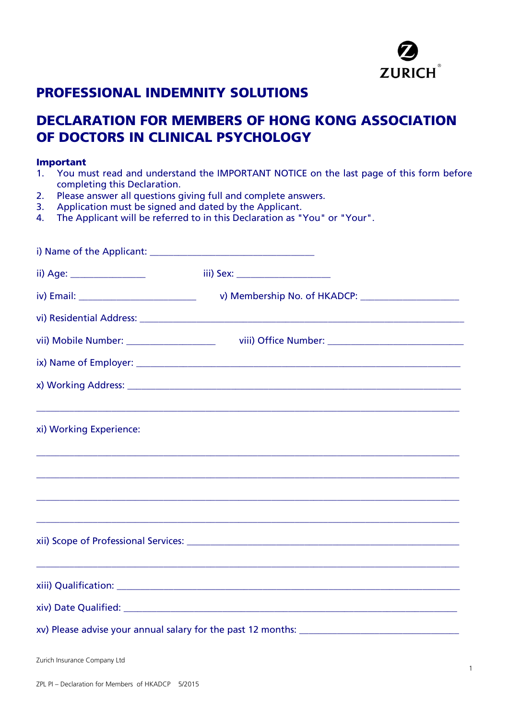

# **PROFESSIONAL INDEMNITY SOLUTIONS**

# **DECLARATION FOR MEMBERS OF HONG KONG ASSOCIATION OF DOCTORS IN CLINICAL PSYCHOLOGY**

# **Important**<br>1. You mu

- You must read and understand the IMPORTANT NOTICE on the last page of this form before completing this Declaration.
- 2. Please answer all questions giving full and complete answers.<br>3. Application must be signed and dated by the Applicant.
- Application must be signed and dated by the Applicant.
- 4. The Applicant will be referred to in this Declaration as "You" or "Your".

| ii) Age: ________________                 |                                                                                  |
|-------------------------------------------|----------------------------------------------------------------------------------|
|                                           |                                                                                  |
|                                           |                                                                                  |
| vii) Mobile Number: _____________________ |                                                                                  |
|                                           |                                                                                  |
|                                           |                                                                                  |
| xi) Working Experience:                   |                                                                                  |
|                                           | ,我们也不能在这里的时候,我们也不能在这里的时候,我们也不能在这里的时候,我们也不能会在这里的时候,我们也不能会在这里的时候,我们也不能会在这里的时候,我们也不 |
|                                           |                                                                                  |
|                                           |                                                                                  |
|                                           |                                                                                  |
|                                           |                                                                                  |
|                                           |                                                                                  |
|                                           |                                                                                  |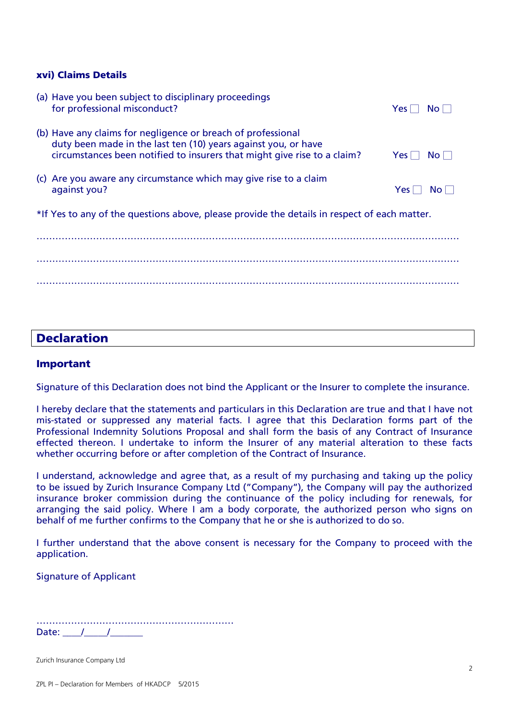### **xvi) Claims Details**

|                                                                                              | (a) Have you been subject to disciplinary proceedings<br>for professional misconduct?                                                                                                                      | Yes l            | No l                  |
|----------------------------------------------------------------------------------------------|------------------------------------------------------------------------------------------------------------------------------------------------------------------------------------------------------------|------------------|-----------------------|
|                                                                                              | (b) Have any claims for negligence or breach of professional<br>duty been made in the last ten (10) years against you, or have<br>circumstances been notified to insurers that might give rise to a claim? | $Yes \mid \mid$  | $N$ o $\vert$ $\vert$ |
|                                                                                              | (c) Are you aware any circumstance which may give rise to a claim<br>against you?                                                                                                                          | Yes <sub>1</sub> | No.                   |
| *If Yes to any of the questions above, please provide the details in respect of each matter. |                                                                                                                                                                                                            |                  |                       |
|                                                                                              |                                                                                                                                                                                                            |                  |                       |
|                                                                                              |                                                                                                                                                                                                            |                  |                       |
|                                                                                              |                                                                                                                                                                                                            |                  |                       |

## **Declaration**

## **Important**

Signature of this Declaration does not bind the Applicant or the Insurer to complete the insurance.

I hereby declare that the statements and particulars in this Declaration are true and that I have not mis-stated or suppressed any material facts. I agree that this Declaration forms part of the Professional Indemnity Solutions Proposal and shall form the basis of any Contract of Insurance effected thereon. I undertake to inform the Insurer of any material alteration to these facts whether occurring before or after completion of the Contract of Insurance.

I understand, acknowledge and agree that, as a result of my purchasing and taking up the policy to be issued by Zurich Insurance Company Ltd ("Company"), the Company will pay the authorized insurance broker commission during the continuance of the policy including for renewals, for arranging the said policy. Where I am a body corporate, the authorized person who signs on behalf of me further confirms to the Company that he or she is authorized to do so.

I further understand that the above consent is necessary for the Company to proceed with the application.

Signature of Applicant

……………………………………………………… Date:  $/$  /

Zurich Insurance Company Ltd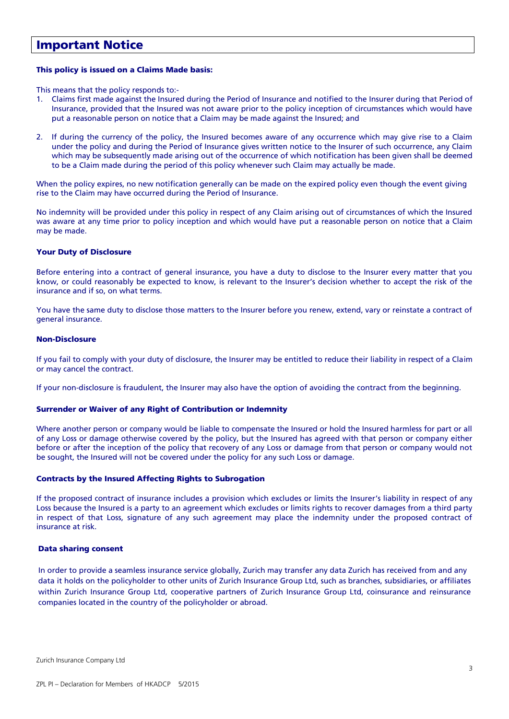## **Important Notice**

#### **This policy is issued on a Claims Made basis:**

This means that the policy responds to:-

- 1. Claims first made against the Insured during the Period of Insurance and notified to the Insurer during that Period of Insurance, provided that the Insured was not aware prior to the policy inception of circumstances which would have put a reasonable person on notice that a Claim may be made against the Insured; and
- 2. If during the currency of the policy, the Insured becomes aware of any occurrence which may give rise to a Claim under the policy and during the Period of Insurance gives written notice to the Insurer of such occurrence, any Claim which may be subsequently made arising out of the occurrence of which notification has been given shall be deemed to be a Claim made during the period of this policy whenever such Claim may actually be made.

When the policy expires, no new notification generally can be made on the expired policy even though the event giving rise to the Claim may have occurred during the Period of Insurance.

No indemnity will be provided under this policy in respect of any Claim arising out of circumstances of which the Insured was aware at any time prior to policy inception and which would have put a reasonable person on notice that a Claim may be made.

#### **Your Duty of Disclosure**

Before entering into a contract of general insurance, you have a duty to disclose to the Insurer every matter that you know, or could reasonably be expected to know, is relevant to the Insurer's decision whether to accept the risk of the insurance and if so, on what terms.

You have the same duty to disclose those matters to the Insurer before you renew, extend, vary or reinstate a contract of general insurance.

#### **Non-Disclosure**

If you fail to comply with your duty of disclosure, the Insurer may be entitled to reduce their liability in respect of a Claim or may cancel the contract.

If your non-disclosure is fraudulent, the Insurer may also have the option of avoiding the contract from the beginning.

#### **Surrender or Waiver of any Right of Contribution or Indemnity**

Where another person or company would be liable to compensate the Insured or hold the Insured harmless for part or all of any Loss or damage otherwise covered by the policy, but the Insured has agreed with that person or company either before or after the inception of the policy that recovery of any Loss or damage from that person or company would not be sought, the Insured will not be covered under the policy for any such Loss or damage.

#### **Contracts by the Insured Affecting Rights to Subrogation**

If the proposed contract of insurance includes a provision which excludes or limits the Insurer's liability in respect of any Loss because the Insured is a party to an agreement which excludes or limits rights to recover damages from a third party in respect of that Loss, signature of any such agreement may place the indemnity under the proposed contract of insurance at risk.

#### **Data sharing consent**

In order to provide a seamless insurance service globally, Zurich may transfer any data Zurich has received from and any data it holds on the policyholder to other units of Zurich Insurance Group Ltd, such as branches, subsidiaries, or affiliates within Zurich Insurance Group Ltd, cooperative partners of Zurich Insurance Group Ltd, coinsurance and reinsurance companies located in the country of the policyholder or abroad.